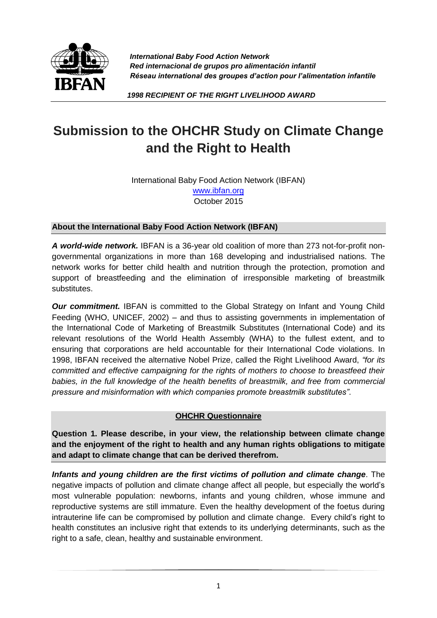

*International Baby Food Action Network Red internacional de grupos pro alimentación infantil Réseau international des groupes d'action pour l'alimentation infantile* 

 *1998 RECIPIENT OF THE RIGHT LIVELIHOOD AWARD*

## **Submission to the OHCHR Study on Climate Change and the Right to Health**

International Baby Food Action Network (IBFAN) [www.ibfan.org](http://www.ibfan.org/) October 2015

## **About the International Baby Food Action Network (IBFAN)**

*A world-wide network.* IBFAN is a 36-year old coalition of more than 273 not-for-profit nongovernmental organizations in more than 168 developing and industrialised nations. The network works for better child health and nutrition through the protection, promotion and support of breastfeeding and the elimination of irresponsible marketing of breastmilk substitutes.

*Our commitment.* IBFAN is committed to the Global Strategy on Infant and Young Child Feeding (WHO, UNICEF, 2002) – and thus to assisting governments in implementation of the International Code of Marketing of Breastmilk Substitutes (International Code) and its relevant resolutions of the World Health Assembly (WHA) to the fullest extent, and to ensuring that corporations are held accountable for their International Code violations. In 1998, IBFAN received the alternative Nobel Prize, called the Right Livelihood Award, *"for its committed and effective campaigning for the rights of mothers to choose to breastfeed their babies, in the full knowledge of the health benefits of breastmilk, and free from commercial pressure and misinformation with which companies promote breastmilk substitutes"*.

## **OHCHR Questionnaire**

**Question 1. Please describe, in your view, the relationship between climate change and the enjoyment of the right to health and any human rights obligations to mitigate and adapt to climate change that can be derived therefrom.**

*Infants and young children are the first victims of pollution and climate change*. The negative impacts of pollution and climate change affect all people, but especially the world's most vulnerable population: newborns, infants and young children, whose immune and reproductive systems are still immature. Even the healthy development of the foetus during intrauterine life can be compromised by pollution and climate change. Every child's right to health constitutes an inclusive right that extends to its underlying determinants, such as the right to a safe, clean, healthy and sustainable environment.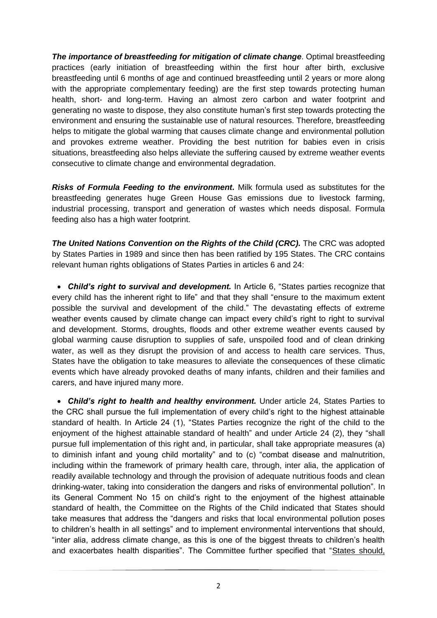**The importance of breastfeeding for mitigation of climate change**. Optimal breastfeeding practices (early initiation of breastfeeding within the first hour after birth, exclusive breastfeeding until 6 months of age and continued breastfeeding until 2 years or more along with the appropriate complementary feeding) are the first step towards protecting human health, short- and long-term. Having an almost zero carbon and water footprint and generating no waste to dispose, they also constitute human's first step towards protecting the environment and ensuring the sustainable use of natural resources. Therefore, breastfeeding helps to mitigate the global warming that causes climate change and environmental pollution and provokes extreme weather. Providing the best nutrition for babies even in crisis situations, breastfeeding also helps alleviate the suffering caused by extreme weather events consecutive to climate change and environmental degradation.

*Risks of Formula Feeding to the environment.* Milk formula used as substitutes for the breastfeeding generates huge Green House Gas emissions due to livestock farming, industrial processing, transport and generation of wastes which needs disposal. Formula feeding also has a high water footprint.

**The United Nations Convention on the Rights of the Child (CRC).** The CRC was adopted by States Parties in 1989 and since then has been ratified by 195 States. The CRC contains relevant human rights obligations of States Parties in articles 6 and 24:

 *Child's right to survival and development.* In Article 6, "States parties recognize that every child has the inherent right to life" and that they shall "ensure to the maximum extent possible the survival and development of the child." The devastating effects of extreme weather events caused by climate change can impact every child's right to right to survival and development. Storms, droughts, floods and other extreme weather events caused by global warming cause disruption to supplies of safe, unspoiled food and of clean drinking water, as well as they disrupt the provision of and access to health care services. Thus, States have the obligation to take measures to alleviate the consequences of these climatic events which have already provoked deaths of many infants, children and their families and carers, and have injured many more.

 *Child's right to health and healthy environment.* Under article 24, States Parties to the CRC shall pursue the full implementation of every child's right to the highest attainable standard of health. In Article 24 (1), "States Parties recognize the right of the child to the enjoyment of the highest attainable standard of health" and under Article 24 (2), they "shall pursue full implementation of this right and, in particular, shall take appropriate measures (a) to diminish infant and young child mortality" and to (c) "combat disease and malnutrition, including within the framework of primary health care, through, inter alia, the application of readily available technology and through the provision of adequate nutritious foods and clean drinking-water, taking into consideration the dangers and risks of environmental pollution". In its General Comment No 15 on child's right to the enjoyment of the highest attainable standard of health, the Committee on the Rights of the Child indicated that States should take measures that address the "dangers and risks that local environmental pollution poses to children's health in all settings" and to implement environmental interventions that should, "inter alia, address climate change, as this is one of the biggest threats to children's health and exacerbates health disparities". The Committee further specified that "States should,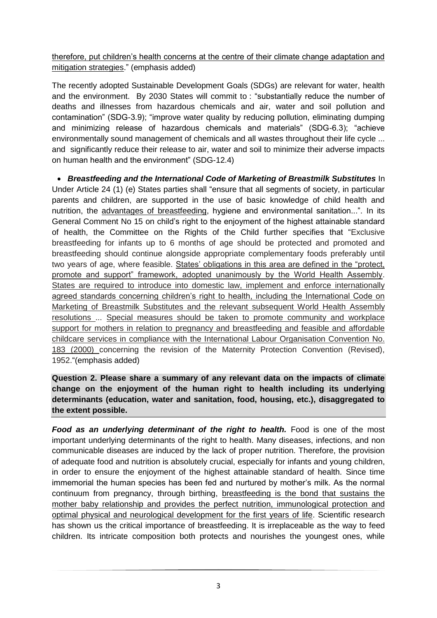therefore, put children's health concerns at the centre of their climate change adaptation and mitigation strategies." (emphasis added)

The recently adopted Sustainable Development Goals (SDGs) are relevant for water, health and the environment. By 2030 States will commit to : "substantially reduce the number of deaths and illnesses from hazardous chemicals and air, water and soil pollution and contamination" (SDG-3.9); "improve water quality by reducing pollution, eliminating dumping and minimizing release of hazardous chemicals and materials" (SDG-6.3); "achieve environmentally sound management of chemicals and all wastes throughout their life cycle ... and significantly reduce their release to air, water and soil to minimize their adverse impacts on human health and the environment" (SDG-12.4)

 *Breastfeeding and the International Code of Marketing of Breastmilk Substitutes* In Under Article 24 (1) (e) States parties shall "ensure that all segments of society, in particular parents and children, are supported in the use of basic knowledge of child health and nutrition, the advantages of breastfeeding, hygiene and environmental sanitation...". In its General Comment No 15 on child's right to the enjoyment of the highest attainable standard of health, the Committee on the Rights of the Child further specifies that "Exclusive breastfeeding for infants up to 6 months of age should be protected and promoted and breastfeeding should continue alongside appropriate complementary foods preferably until two years of age, where feasible. States' obligations in this area are defined in the "protect, promote and support" framework, adopted unanimously by the World Health Assembly. States are required to introduce into domestic law, implement and enforce internationally agreed standards concerning children's right to health, including the International Code on Marketing of Breastmilk Substitutes and the relevant subsequent World Health Assembly resolutions ... Special measures should be taken to promote community and workplace support for mothers in relation to pregnancy and breastfeeding and feasible and affordable childcare services in compliance with the International Labour Organisation Convention No. 183 (2000) concerning the revision of the Maternity Protection Convention (Revised), 1952."(emphasis added)

## **Question 2. Please share a summary of any relevant data on the impacts of climate change on the enjoyment of the human right to health including its underlying determinants (education, water and sanitation, food, housing, etc.), disaggregated to the extent possible.**

**Food as an underlying determinant of the right to health.** Food is one of the most important underlying determinants of the right to health. Many diseases, infections, and non communicable diseases are induced by the lack of proper nutrition. Therefore, the provision of adequate food and nutrition is absolutely crucial, especially for infants and young children, in order to ensure the enjoyment of the highest attainable standard of health. Since time immemorial the human species has been fed and nurtured by mother's milk. As the normal continuum from pregnancy, through birthing, breastfeeding is the bond that sustains the mother baby relationship and provides the perfect nutrition, immunological protection and optimal physical and neurological development for the first years of life. Scientific research has shown us the critical importance of breastfeeding. It is irreplaceable as the way to feed children. Its intricate composition both protects and nourishes the youngest ones, while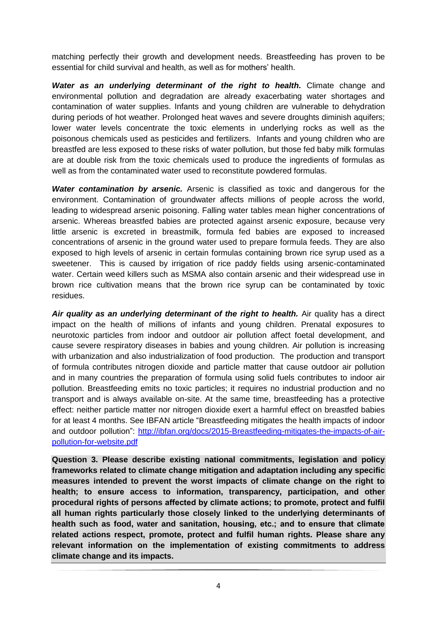matching perfectly their growth and development needs. Breastfeeding has proven to be essential for child survival and health, as well as for mothers' health.

*Water as an underlying determinant of the right to health.* Climate change and environmental pollution and degradation are already exacerbating water shortages and contamination of water supplies. Infants and young children are vulnerable to dehydration during periods of hot weather. Prolonged heat waves and severe droughts diminish aquifers; lower water levels concentrate the toxic elements in underlying rocks as well as the poisonous chemicals used as pesticides and fertilizers. Infants and young children who are breastfed are less exposed to these risks of water pollution, but those fed baby milk formulas are at double risk from the toxic chemicals used to produce the ingredients of formulas as well as from the contaminated water used to reconstitute powdered formulas.

*Water contamination by arsenic.* Arsenic is classified as toxic and dangerous for the environment. Contamination of groundwater affects millions of people across the world, leading to widespread arsenic poisoning. Falling water tables mean higher concentrations of arsenic. Whereas breastfed babies are protected against arsenic exposure, because very little arsenic is excreted in breastmilk, formula fed babies are exposed to increased concentrations of arsenic in the ground water used to prepare formula feeds. They are also exposed to high levels of arsenic in certain formulas containing brown rice syrup used as a sweetener. This is caused by irrigation of rice paddy fields using arsenic-contaminated water. Certain weed killers such as MSMA also contain arsenic and their widespread use in brown rice cultivation means that the brown rice syrup can be contaminated by toxic residues.

Air quality as an underlying determinant of the right to health. Air quality has a direct impact on the health of millions of infants and young children. Prenatal exposures to neurotoxic particles from indoor and outdoor air pollution affect foetal development, and cause severe respiratory diseases in babies and young children. Air pollution is increasing with urbanization and also industrialization of food production. The production and transport of formula contributes nitrogen dioxide and particle matter that cause outdoor air pollution and in many countries the preparation of formula using solid fuels contributes to indoor air pollution. Breastfeeding emits no toxic particles; it requires no industrial production and no transport and is always available on-site. At the same time, breastfeeding has a protective effect: neither particle matter nor nitrogen dioxide exert a harmful effect on breastfed babies for at least 4 months. See IBFAN article "Breastfeeding mitigates the health impacts of indoor and outdoor pollution": [http://ibfan.org/docs/2015-Breastfeeding-mitigates-the-impacts-of-air](http://ibfan.org/docs/2015-Breastfeeding-mitigates-the-impacts-of-air-pollution-for-website.pdf)[pollution-for-website.pdf](http://ibfan.org/docs/2015-Breastfeeding-mitigates-the-impacts-of-air-pollution-for-website.pdf)

**Question 3. Please describe existing national commitments, legislation and policy frameworks related to climate change mitigation and adaptation including any specific measures intended to prevent the worst impacts of climate change on the right to health; to ensure access to information, transparency, participation, and other procedural rights of persons affected by climate actions; to promote, protect and fulfil all human rights particularly those closely linked to the underlying determinants of health such as food, water and sanitation, housing, etc.; and to ensure that climate related actions respect, promote, protect and fulfil human rights. Please share any relevant information on the implementation of existing commitments to address climate change and its impacts.**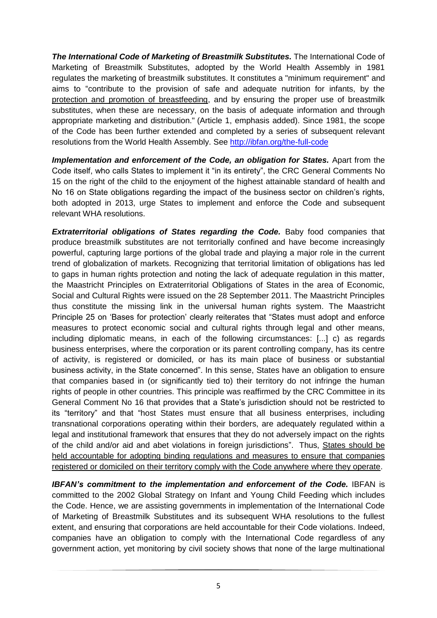*The International Code of Marketing of Breastmilk Substitutes.* The International Code of Marketing of Breastmilk Substitutes, adopted by the World Health Assembly in 1981 regulates the marketing of breastmilk substitutes. It constitutes a "minimum requirement" and aims to "contribute to the provision of safe and adequate nutrition for infants, by the protection and promotion of breastfeeding, and by ensuring the proper use of breastmilk substitutes, when these are necessary, on the basis of adequate information and through appropriate marketing and distribution." (Article 1, emphasis added). Since 1981, the scope of the Code has been further extended and completed by a series of subsequent relevant resolutions from the World Health Assembly. See<http://ibfan.org/the-full-code>

*Implementation and enforcement of the Code, an obligation for States.* Apart from the Code itself, who calls States to implement it "in its entirety", the CRC General Comments No 15 on the right of the child to the enjoyment of the highest attainable standard of health and No 16 on State obligations regarding the impact of the business sector on children's rights, both adopted in 2013, urge States to implement and enforce the Code and subsequent relevant WHA resolutions.

*Extraterritorial obligations of States regarding the Code.* Baby food companies that produce breastmilk substitutes are not territorially confined and have become increasingly powerful, capturing large portions of the global trade and playing a major role in the current trend of globalization of markets. Recognizing that territorial limitation of obligations has led to gaps in human rights protection and noting the lack of adequate regulation in this matter, the Maastricht Principles on Extraterritorial Obligations of States in the area of Economic, Social and Cultural Rights were issued on the 28 September 2011. The Maastricht Principles thus constitute the missing link in the universal human rights system. The Maastricht Principle 25 on 'Bases for protection' clearly reiterates that "States must adopt and enforce measures to protect economic social and cultural rights through legal and other means, including diplomatic means, in each of the following circumstances: [...] c) as regards business enterprises, where the corporation or its parent controlling company, has its centre of activity, is registered or domiciled, or has its main place of business or substantial business activity, in the State concerned". In this sense, States have an obligation to ensure that companies based in (or significantly tied to) their territory do not infringe the human rights of people in other countries. This principle was reaffirmed by the CRC Committee in its General Comment No 16 that provides that a State's jurisdiction should not be restricted to its "territory" and that "host States must ensure that all business enterprises, including transnational corporations operating within their borders, are adequately regulated within a legal and institutional framework that ensures that they do not adversely impact on the rights of the child and/or aid and abet violations in foreign jurisdictions". Thus, States should be held accountable for adopting binding regulations and measures to ensure that companies registered or domiciled on their territory comply with the Code anywhere where they operate.

*IBFAN's commitment to the implementation and enforcement of the Code.* IBFAN is committed to the 2002 Global Strategy on Infant and Young Child Feeding which includes the Code. Hence, we are assisting governments in implementation of the International Code of Marketing of Breastmilk Substitutes and its subsequent WHA resolutions to the fullest extent, and ensuring that corporations are held accountable for their Code violations. Indeed, companies have an obligation to comply with the International Code regardless of any government action, yet monitoring by civil society shows that none of the large multinational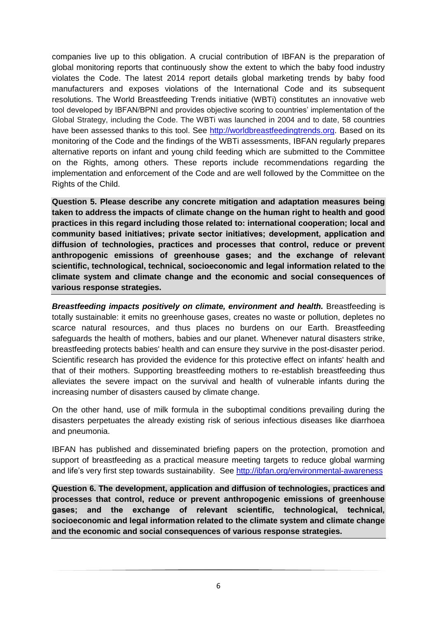companies live up to this obligation. A crucial contribution of IBFAN is the preparation of global monitoring reports that continuously show the extent to which the baby food industry violates the Code. The latest 2014 report details global marketing trends by baby food manufacturers and exposes violations of the International Code and its subsequent resolutions. The World Breastfeeding Trends initiative (WBTi) constitutes an innovative web tool developed by IBFAN/BPNI and provides objective scoring to countries' implementation of the Global Strategy, including the Code. The WBTi was launched in 2004 and to date, 58 countries have been assessed thanks to this tool. See [http://worldbreastfeedingtrends.org.](http://worldbreastfeedingtrends.org/) Based on its monitoring of the Code and the findings of the WBTi assessments, IBFAN regularly prepares alternative reports on infant and young child feeding which are submitted to the Committee on the Rights, among others. These reports include recommendations regarding the implementation and enforcement of the Code and are well followed by the Committee on the Rights of the Child.

**Question 5. Please describe any concrete mitigation and adaptation measures being taken to address the impacts of climate change on the human right to health and good practices in this regard including those related to: international cooperation; local and community based initiatives; private sector initiatives; development, application and diffusion of technologies, practices and processes that control, reduce or prevent anthropogenic emissions of greenhouse gases; and the exchange of relevant scientific, technological, technical, socioeconomic and legal information related to the climate system and climate change and the economic and social consequences of various response strategies.**

*Breastfeeding impacts positively on climate, environment and health.* Breastfeeding is totally sustainable: it emits no greenhouse gases, creates no waste or pollution, depletes no scarce natural resources, and thus places no burdens on our Earth. Breastfeeding safeguards the health of mothers, babies and our planet. Whenever natural disasters strike, breastfeeding protects babies' health and can ensure they survive in the post-disaster period. Scientific research has provided the evidence for this protective effect on infants' health and that of their mothers. Supporting breastfeeding mothers to re-establish breastfeeding thus alleviates the severe impact on the survival and health of vulnerable infants during the increasing number of disasters caused by climate change.

On the other hand, use of milk formula in the suboptimal conditions prevailing during the disasters perpetuates the already existing risk of serious infectious diseases like diarrhoea and pneumonia.

IBFAN has published and disseminated briefing papers on the protection, promotion and support of breastfeeding as a practical measure meeting targets to reduce global warming and life's very first step towards sustainability. See<http://ibfan.org/environmental-awareness>

**Question 6. The development, application and diffusion of technologies, practices and processes that control, reduce or prevent anthropogenic emissions of greenhouse gases; and the exchange of relevant scientific, technological, technical, socioeconomic and legal information related to the climate system and climate change and the economic and social consequences of various response strategies.**